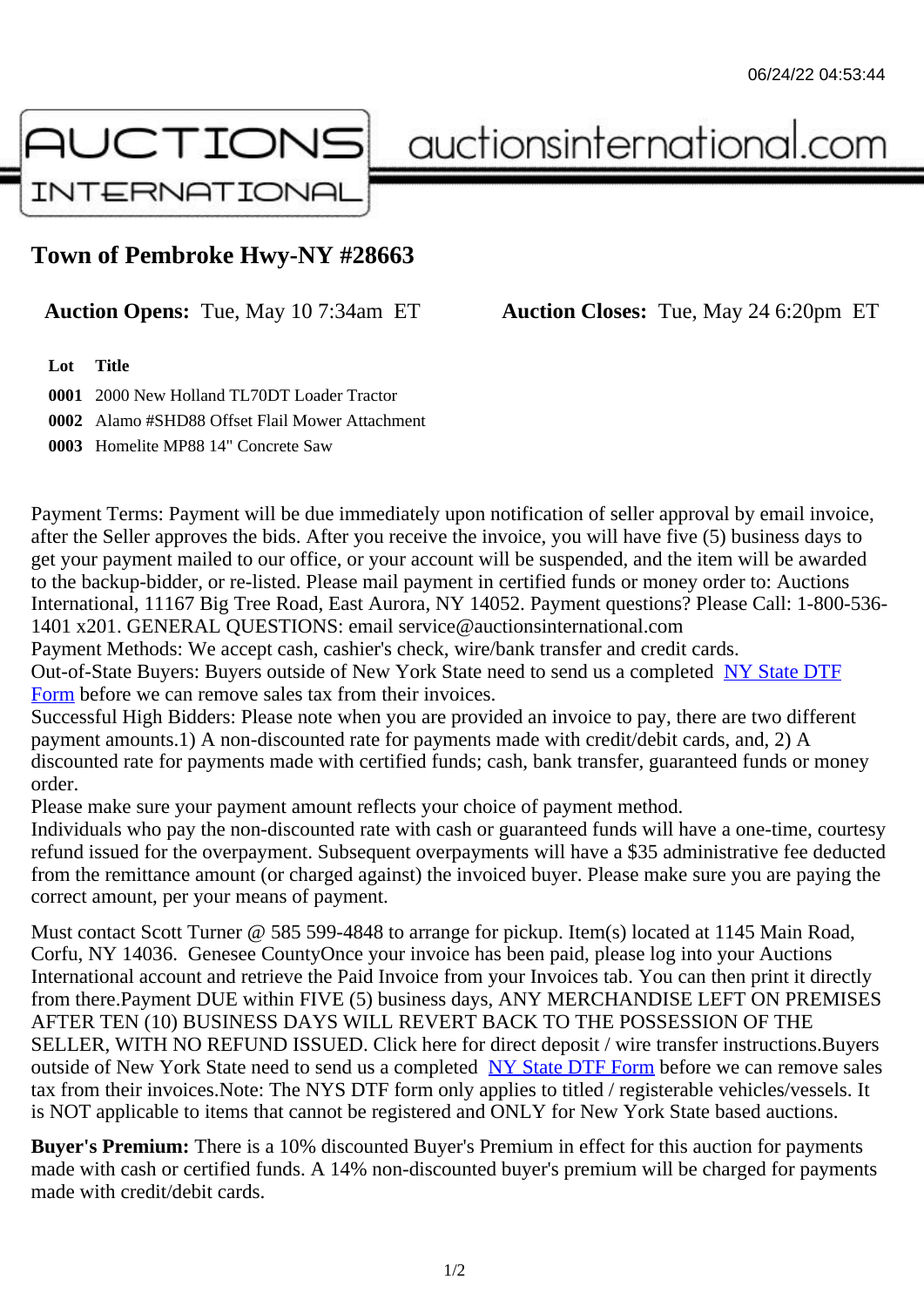## Town of Pembroke Hwy-NY #28663

Auction Opens: Tue, May 10 7:34am ET Auction Closes: Tue, May 24 6:20pm ET

Lot Title

0001 2000 New Holland TL70DT Loader Tractor 0002 Alamo #SHD88 Offset Flail Mower Attachment 0003 Homelite MP88 14" Concrete Saw

Payment Terms: Payment will be due immediately upon notification of seller approval by email invoice, after the Seller approves the bids. After you receive the invoice, you will have five (5) business days to get your payment mailed to our office, or your account will be suspended, and the item will be awarded to the backup-bidder, or re-listed. Please mail payment in certified funds or money order to: Auctions International, 11167 Big Tree Road, East Aurora, NY 14052. Payment questions? Please Call: 1-800-53 1401 x201. GENERAL QUESTIONS: email service@auctionsinternational.com

Payment Methods: We accept cash, cashier's check, wire/bank transfer and credit cards. Out-of-State Buyers: Buyers outside of New York State need to send us a com blestate DTF Form before we can remove sales tax from their invoices.

Successful High Bidders: Please note when you are provided an invoice to pay, there are two different payment amounts.1) A non-discounted rate for payments made with credit/de[bit cards, and](https://www.auctionsinternational.com/auxiliary/downloads/DTF_Form/dtf_fill_in.pdf), 2) A [disco](https://www.auctionsinternational.com/auxiliary/downloads/DTF_Form/dtf_fill_in.pdf)unted rate for payments made with certified funds; cash, bank transfer, quaranteed funds or mone order.

Please make sure your payment amount reflects your choice of payment method.

Individuals who pay the non-discounted rate with cash or quaranteed funds will have a one-time, courte refund issued for the overpayment. Subsequent overpayments will have a \$35 administrative fee deduc from the remittance amount (or charged against) the invoiced buyer. Please make sure you are paying correct amount, per your means of payment.

Must contact Scott Turner @ 585 599-4848 to arrange for pickup. Item(s) located at 1145 Main Road, Corfu, NY 14036. Genesee CountyOnce your invoice has been paid, please log into your Auctions International account and retrieve the Paid Invoice from your Invoices tab. You can then print it directly from there.Payment DUE within FIVE (5) business days, ANY MERCHANDISE LEFT ON PREMISES AFTER TEN (10) BUSINESS DAYS WILL REVERT BACK TO THE POSSESSION OF THE SELLER, WITH NO REFUND ISSUED. Click here for direct deposit / wire transfer instructions.Buyers outside of New York State need to send us a complete **State DTF Form before we can remove sales** tax from their invoices.Note: The NYS DTF form only applies to titled / registerable vehicles/vessels. It is NOT applicable to items that cannot be registered and ONLY for New York State based auctions.

Buyer's Premium: There is a 10% discounted Buye[r's Premium in effec](https://www.auctionsinternational.com/auxiliary/downloads/DTF_Form/dtf_fill_in.pdf)t for this auction for payments made with cash or certified funds. A 14% non-discounted buyer's premium will be charged for payments made with credit/debit cards.